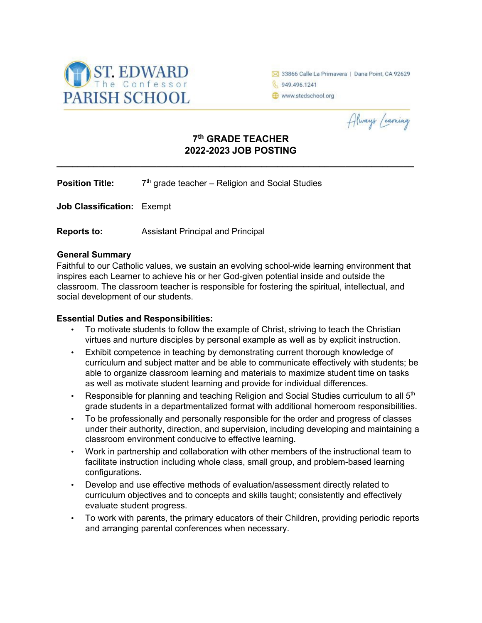

33866 Calle La Primavera | Dana Point, CA 92629 6 949.496.1241 www.stedschool.org

Always Learning

# **7th GRADE TEACHER 2022-2023 JOB POSTING**

**\_\_\_\_\_\_\_\_\_\_\_\_\_\_\_\_\_\_\_\_\_\_\_\_\_\_\_\_\_\_\_\_\_\_\_\_\_\_\_\_\_\_\_\_\_\_\_\_\_\_\_\_\_\_\_\_\_\_\_\_\_\_\_\_\_\_\_\_** 

**Position Title:** 7<sup>th</sup> grade teacher – Religion and Social Studies

**Job Classification:** Exempt

**Reports to:** Assistant Principal and Principal

#### **General Summary**

Faithful to our Catholic values, we sustain an evolving school-wide learning environment that inspires each Learner to achieve his or her God-given potential inside and outside the classroom. The classroom teacher is responsible for fostering the spiritual, intellectual, and social development of our students.

#### **Essential Duties and Responsibilities:**

- To motivate students to follow the example of Christ, striving to teach the Christian virtues and nurture disciples by personal example as well as by explicit instruction.
- Exhibit competence in teaching by demonstrating current thorough knowledge of curriculum and subject matter and be able to communicate effectively with students; be able to organize classroom learning and materials to maximize student time on tasks as well as motivate student learning and provide for individual differences.
- Responsible for planning and teaching Religion and Social Studies curriculum to all  $5<sup>th</sup>$ grade students in a departmentalized format with additional homeroom responsibilities.
- To be professionally and personally responsible for the order and progress of classes under their authority, direction, and supervision, including developing and maintaining a classroom environment conducive to effective learning.
- Work in partnership and collaboration with other members of the instructional team to facilitate instruction including whole class, small group, and problem-based learning configurations.
- Develop and use effective methods of evaluation/assessment directly related to curriculum objectives and to concepts and skills taught; consistently and effectively evaluate student progress.
- To work with parents, the primary educators of their Children, providing periodic reports and arranging parental conferences when necessary.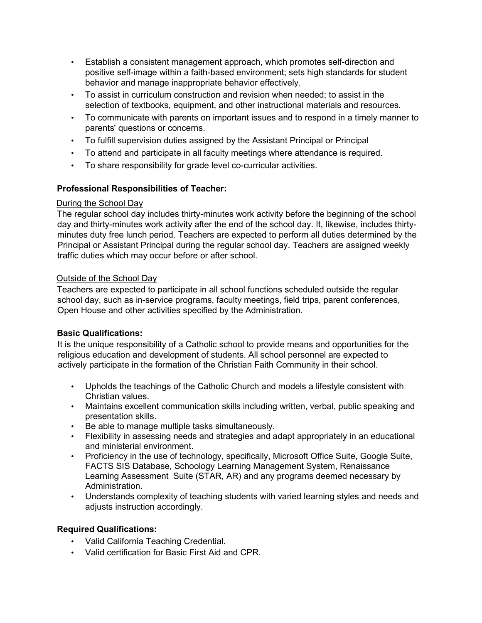- Establish a consistent management approach, which promotes self-direction and positive self-image within a faith-based environment; sets high standards for student behavior and manage inappropriate behavior effectively.
- To assist in curriculum construction and revision when needed; to assist in the selection of textbooks, equipment, and other instructional materials and resources.
- To communicate with parents on important issues and to respond in a timely manner to parents' questions or concerns.
- To fulfill supervision duties assigned by the Assistant Principal or Principal
- To attend and participate in all faculty meetings where attendance is required.
- To share responsibility for grade level co-curricular activities.

### **Professional Responsibilities of Teacher:**

### During the School Day

The regular school day includes thirty-minutes work activity before the beginning of the school day and thirty-minutes work activity after the end of the school day. It, likewise, includes thirtyminutes duty free lunch period. Teachers are expected to perform all duties determined by the Principal or Assistant Principal during the regular school day. Teachers are assigned weekly traffic duties which may occur before or after school.

### Outside of the School Day

Teachers are expected to participate in all school functions scheduled outside the regular school day, such as in-service programs, faculty meetings, field trips, parent conferences, Open House and other activities specified by the Administration.

### **Basic Qualifications:**

It is the unique responsibility of a Catholic school to provide means and opportunities for the religious education and development of students. All school personnel are expected to actively participate in the formation of the Christian Faith Community in their school.

- Upholds the teachings of the Catholic Church and models a lifestyle consistent with Christian values.
- Maintains excellent communication skills including written, verbal, public speaking and presentation skills.
- Be able to manage multiple tasks simultaneously.
- Flexibility in assessing needs and strategies and adapt appropriately in an educational and ministerial environment.
- Proficiency in the use of technology, specifically, Microsoft Office Suite, Google Suite, FACTS SIS Database, Schoology Learning Management System, Renaissance Learning Assessment Suite (STAR, AR) and any programs deemed necessary by Administration.
- Understands complexity of teaching students with varied learning styles and needs and adjusts instruction accordingly.

## **Required Qualifications:**

- Valid California Teaching Credential.
- Valid certification for Basic First Aid and CPR.